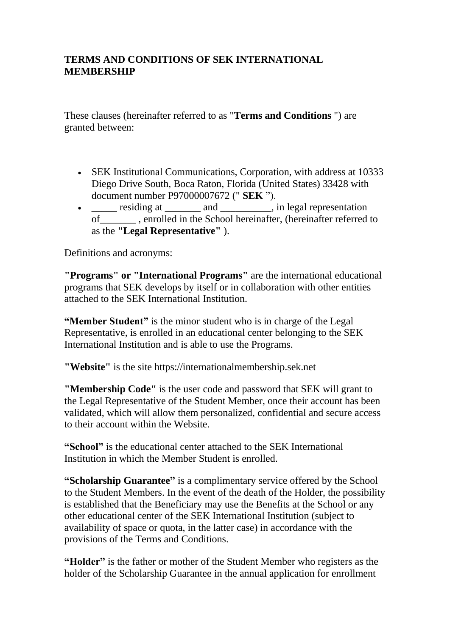#### **TERMS AND CONDITIONS OF SEK INTERNATIONAL MEMBERSHIP**

These clauses (hereinafter referred to as "**Terms and Conditions** ") are granted between:

- SEK Institutional Communications, Corporation, with address at 10333 Diego Drive South, Boca Raton, Florida (United States) 33428 with document number P97000007672 (" **SEK** ").
- \_\_\_\_\_ residing at \_\_\_\_\_\_\_ and \_\_\_\_\_\_\_\_\_, in legal representation of\_\_\_\_\_\_\_ , enrolled in the School hereinafter, (hereinafter referred to as the **"Legal Representative"** ).

Definitions and acronyms:

**"Programs" or "International Programs"** are the international educational programs that SEK develops by itself or in collaboration with other entities attached to the SEK International Institution.

**"Member Student"** is the minor student who is in charge of the Legal Representative, is enrolled in an educational center belonging to the SEK International Institution and is able to use the Programs.

**"Website"** is the site https://internationalmembership.sek.net

**"Membership Code"** is the user code and password that SEK will grant to the Legal Representative of the Student Member, once their account has been validated, which will allow them personalized, confidential and secure access to their account within the Website.

**"School"** is the educational center attached to the SEK International Institution in which the Member Student is enrolled.

**"Scholarship Guarantee"** is a complimentary service offered by the School to the Student Members. In the event of the death of the Holder, the possibility is established that the Beneficiary may use the Benefits at the School or any other educational center of the SEK International Institution (subject to availability of space or quota, in the latter case) in accordance with the provisions of the Terms and Conditions.

**"Holder"** is the father or mother of the Student Member who registers as the holder of the Scholarship Guarantee in the annual application for enrollment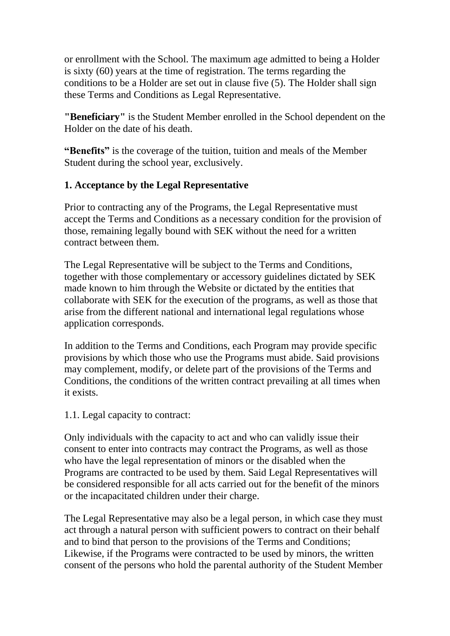or enrollment with the School. The maximum age admitted to being a Holder is sixty (60) years at the time of registration. The terms regarding the conditions to be a Holder are set out in clause five (5). The Holder shall sign these Terms and Conditions as Legal Representative.

**"Beneficiary"** is the Student Member enrolled in the School dependent on the Holder on the date of his death.

**"Benefits"** is the coverage of the tuition, tuition and meals of the Member Student during the school year, exclusively.

#### **1. Acceptance by the Legal Representative**

Prior to contracting any of the Programs, the Legal Representative must accept the Terms and Conditions as a necessary condition for the provision of those, remaining legally bound with SEK without the need for a written contract between them.

The Legal Representative will be subject to the Terms and Conditions, together with those complementary or accessory guidelines dictated by SEK made known to him through the Website or dictated by the entities that collaborate with SEK for the execution of the programs, as well as those that arise from the different national and international legal regulations whose application corresponds.

In addition to the Terms and Conditions, each Program may provide specific provisions by which those who use the Programs must abide. Said provisions may complement, modify, or delete part of the provisions of the Terms and Conditions, the conditions of the written contract prevailing at all times when it exists.

#### 1.1. Legal capacity to contract:

Only individuals with the capacity to act and who can validly issue their consent to enter into contracts may contract the Programs, as well as those who have the legal representation of minors or the disabled when the Programs are contracted to be used by them. Said Legal Representatives will be considered responsible for all acts carried out for the benefit of the minors or the incapacitated children under their charge.

The Legal Representative may also be a legal person, in which case they must act through a natural person with sufficient powers to contract on their behalf and to bind that person to the provisions of the Terms and Conditions; Likewise, if the Programs were contracted to be used by minors, the written consent of the persons who hold the parental authority of the Student Member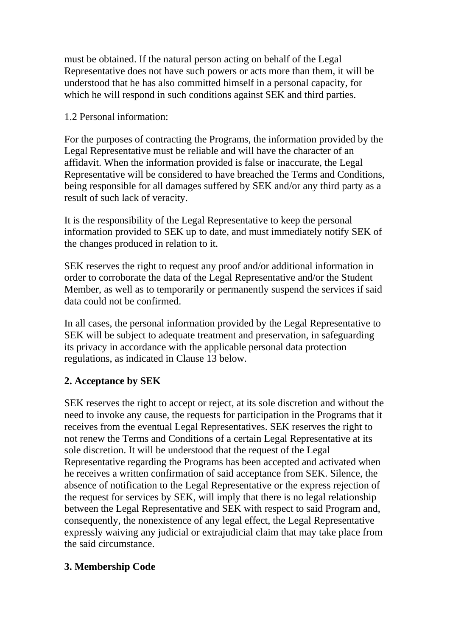must be obtained. If the natural person acting on behalf of the Legal Representative does not have such powers or acts more than them, it will be understood that he has also committed himself in a personal capacity, for which he will respond in such conditions against SEK and third parties.

1.2 Personal information:

For the purposes of contracting the Programs, the information provided by the Legal Representative must be reliable and will have the character of an affidavit. When the information provided is false or inaccurate, the Legal Representative will be considered to have breached the Terms and Conditions, being responsible for all damages suffered by SEK and/or any third party as a result of such lack of veracity.

It is the responsibility of the Legal Representative to keep the personal information provided to SEK up to date, and must immediately notify SEK of the changes produced in relation to it.

SEK reserves the right to request any proof and/or additional information in order to corroborate the data of the Legal Representative and/or the Student Member, as well as to temporarily or permanently suspend the services if said data could not be confirmed.

In all cases, the personal information provided by the Legal Representative to SEK will be subject to adequate treatment and preservation, in safeguarding its privacy in accordance with the applicable personal data protection regulations, as indicated in Clause 13 below.

# **2. Acceptance by SEK**

SEK reserves the right to accept or reject, at its sole discretion and without the need to invoke any cause, the requests for participation in the Programs that it receives from the eventual Legal Representatives. SEK reserves the right to not renew the Terms and Conditions of a certain Legal Representative at its sole discretion. It will be understood that the request of the Legal Representative regarding the Programs has been accepted and activated when he receives a written confirmation of said acceptance from SEK. Silence, the absence of notification to the Legal Representative or the express rejection of the request for services by SEK, will imply that there is no legal relationship between the Legal Representative and SEK with respect to said Program and, consequently, the nonexistence of any legal effect, the Legal Representative expressly waiving any judicial or extrajudicial claim that may take place from the said circumstance.

# **3. Membership Code**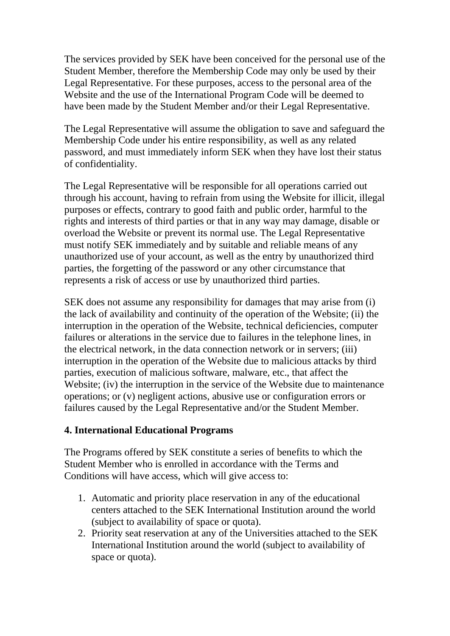The services provided by SEK have been conceived for the personal use of the Student Member, therefore the Membership Code may only be used by their Legal Representative. For these purposes, access to the personal area of the Website and the use of the International Program Code will be deemed to have been made by the Student Member and/or their Legal Representative.

The Legal Representative will assume the obligation to save and safeguard the Membership Code under his entire responsibility, as well as any related password, and must immediately inform SEK when they have lost their status of confidentiality.

The Legal Representative will be responsible for all operations carried out through his account, having to refrain from using the Website for illicit, illegal purposes or effects, contrary to good faith and public order, harmful to the rights and interests of third parties or that in any way may damage, disable or overload the Website or prevent its normal use. The Legal Representative must notify SEK immediately and by suitable and reliable means of any unauthorized use of your account, as well as the entry by unauthorized third parties, the forgetting of the password or any other circumstance that represents a risk of access or use by unauthorized third parties.

SEK does not assume any responsibility for damages that may arise from (i) the lack of availability and continuity of the operation of the Website; (ii) the interruption in the operation of the Website, technical deficiencies, computer failures or alterations in the service due to failures in the telephone lines, in the electrical network, in the data connection network or in servers; (iii) interruption in the operation of the Website due to malicious attacks by third parties, execution of malicious software, malware, etc., that affect the Website; (iv) the interruption in the service of the Website due to maintenance operations; or (v) negligent actions, abusive use or configuration errors or failures caused by the Legal Representative and/or the Student Member.

#### **4. International Educational Programs**

The Programs offered by SEK constitute a series of benefits to which the Student Member who is enrolled in accordance with the Terms and Conditions will have access, which will give access to:

- 1. Automatic and priority place reservation in any of the educational centers attached to the SEK International Institution around the world (subject to availability of space or quota).
- 2. Priority seat reservation at any of the Universities attached to the SEK International Institution around the world (subject to availability of space or quota).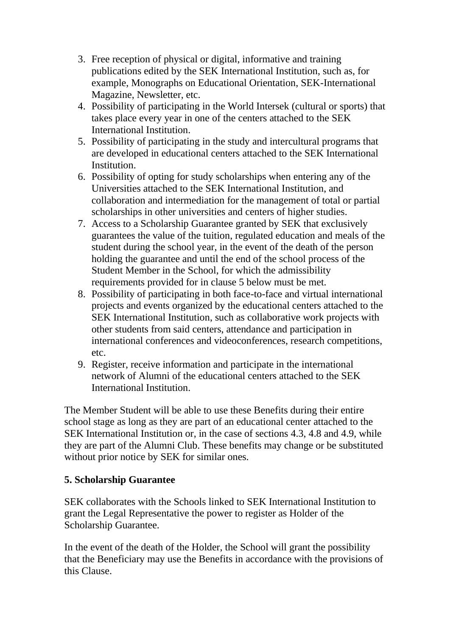- 3. Free reception of physical or digital, informative and training publications edited by the SEK International Institution, such as, for example, Monographs on Educational Orientation, SEK-International Magazine, Newsletter, etc.
- 4. Possibility of participating in the World Intersek (cultural or sports) that takes place every year in one of the centers attached to the SEK International Institution.
- 5. Possibility of participating in the study and intercultural programs that are developed in educational centers attached to the SEK International Institution.
- 6. Possibility of opting for study scholarships when entering any of the Universities attached to the SEK International Institution, and collaboration and intermediation for the management of total or partial scholarships in other universities and centers of higher studies.
- 7. Access to a Scholarship Guarantee granted by SEK that exclusively guarantees the value of the tuition, regulated education and meals of the student during the school year, in the event of the death of the person holding the guarantee and until the end of the school process of the Student Member in the School, for which the admissibility requirements provided for in clause 5 below must be met.
- 8. Possibility of participating in both face-to-face and virtual international projects and events organized by the educational centers attached to the SEK International Institution, such as collaborative work projects with other students from said centers, attendance and participation in international conferences and videoconferences, research competitions, etc.
- 9. Register, receive information and participate in the international network of Alumni of the educational centers attached to the SEK International Institution.

The Member Student will be able to use these Benefits during their entire school stage as long as they are part of an educational center attached to the SEK International Institution or, in the case of sections 4.3, 4.8 and 4.9, while they are part of the Alumni Club. These benefits may change or be substituted without prior notice by SEK for similar ones.

#### **5. Scholarship Guarantee**

SEK collaborates with the Schools linked to SEK International Institution to grant the Legal Representative the power to register as Holder of the Scholarship Guarantee.

In the event of the death of the Holder, the School will grant the possibility that the Beneficiary may use the Benefits in accordance with the provisions of this Clause.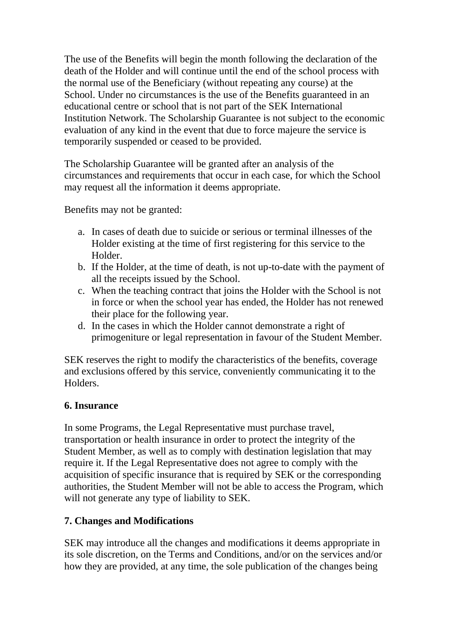The use of the Benefits will begin the month following the declaration of the death of the Holder and will continue until the end of the school process with the normal use of the Beneficiary (without repeating any course) at the School. Under no circumstances is the use of the Benefits guaranteed in an educational centre or school that is not part of the SEK International Institution Network. The Scholarship Guarantee is not subject to the economic evaluation of any kind in the event that due to force majeure the service is temporarily suspended or ceased to be provided.

The Scholarship Guarantee will be granted after an analysis of the circumstances and requirements that occur in each case, for which the School may request all the information it deems appropriate.

Benefits may not be granted:

- a. In cases of death due to suicide or serious or terminal illnesses of the Holder existing at the time of first registering for this service to the Holder.
- b. If the Holder, at the time of death, is not up-to-date with the payment of all the receipts issued by the School.
- c. When the teaching contract that joins the Holder with the School is not in force or when the school year has ended, the Holder has not renewed their place for the following year.
- d. In the cases in which the Holder cannot demonstrate a right of primogeniture or legal representation in favour of the Student Member.

SEK reserves the right to modify the characteristics of the benefits, coverage and exclusions offered by this service, conveniently communicating it to the Holders.

# **6. Insurance**

In some Programs, the Legal Representative must purchase travel, transportation or health insurance in order to protect the integrity of the Student Member, as well as to comply with destination legislation that may require it. If the Legal Representative does not agree to comply with the acquisition of specific insurance that is required by SEK or the corresponding authorities, the Student Member will not be able to access the Program, which will not generate any type of liability to SEK.

# **7. Changes and Modifications**

SEK may introduce all the changes and modifications it deems appropriate in its sole discretion, on the Terms and Conditions, and/or on the services and/or how they are provided, at any time, the sole publication of the changes being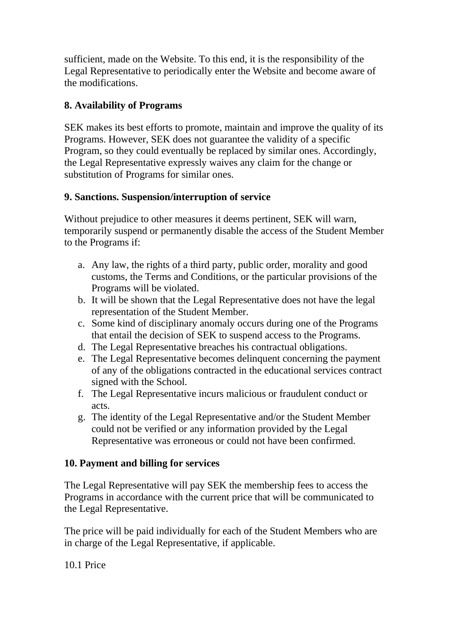sufficient, made on the Website. To this end, it is the responsibility of the Legal Representative to periodically enter the Website and become aware of the modifications.

#### **8. Availability of Programs**

SEK makes its best efforts to promote, maintain and improve the quality of its Programs. However, SEK does not guarantee the validity of a specific Program, so they could eventually be replaced by similar ones. Accordingly, the Legal Representative expressly waives any claim for the change or substitution of Programs for similar ones.

# **9. Sanctions. Suspension/interruption of service**

Without prejudice to other measures it deems pertinent, SEK will warn, temporarily suspend or permanently disable the access of the Student Member to the Programs if:

- a. Any law, the rights of a third party, public order, morality and good customs, the Terms and Conditions, or the particular provisions of the Programs will be violated.
- b. It will be shown that the Legal Representative does not have the legal representation of the Student Member.
- c. Some kind of disciplinary anomaly occurs during one of the Programs that entail the decision of SEK to suspend access to the Programs.
- d. The Legal Representative breaches his contractual obligations.
- e. The Legal Representative becomes delinquent concerning the payment of any of the obligations contracted in the educational services contract signed with the School.
- f. The Legal Representative incurs malicious or fraudulent conduct or acts.
- g. The identity of the Legal Representative and/or the Student Member could not be verified or any information provided by the Legal Representative was erroneous or could not have been confirmed.

# **10. Payment and billing for services**

The Legal Representative will pay SEK the membership fees to access the Programs in accordance with the current price that will be communicated to the Legal Representative.

The price will be paid individually for each of the Student Members who are in charge of the Legal Representative, if applicable.

10.1 Price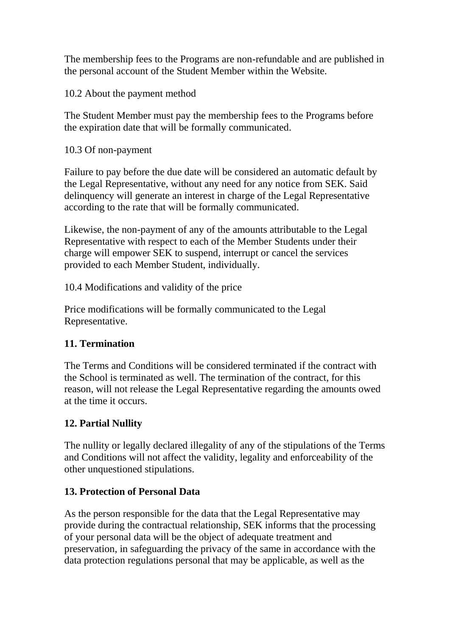The membership fees to the Programs are non-refundable and are published in the personal account of the Student Member within the Website.

10.2 About the payment method

The Student Member must pay the membership fees to the Programs before the expiration date that will be formally communicated.

10.3 Of non-payment

Failure to pay before the due date will be considered an automatic default by the Legal Representative, without any need for any notice from SEK. Said delinquency will generate an interest in charge of the Legal Representative according to the rate that will be formally communicated.

Likewise, the non-payment of any of the amounts attributable to the Legal Representative with respect to each of the Member Students under their charge will empower SEK to suspend, interrupt or cancel the services provided to each Member Student, individually.

10.4 Modifications and validity of the price

Price modifications will be formally communicated to the Legal Representative.

# **11. Termination**

The Terms and Conditions will be considered terminated if the contract with the School is terminated as well. The termination of the contract, for this reason, will not release the Legal Representative regarding the amounts owed at the time it occurs.

# **12. Partial Nullity**

The nullity or legally declared illegality of any of the stipulations of the Terms and Conditions will not affect the validity, legality and enforceability of the other unquestioned stipulations.

# **13. Protection of Personal Data**

As the person responsible for the data that the Legal Representative may provide during the contractual relationship, SEK informs that the processing of your personal data will be the object of adequate treatment and preservation, in safeguarding the privacy of the same in accordance with the data protection regulations personal that may be applicable, as well as the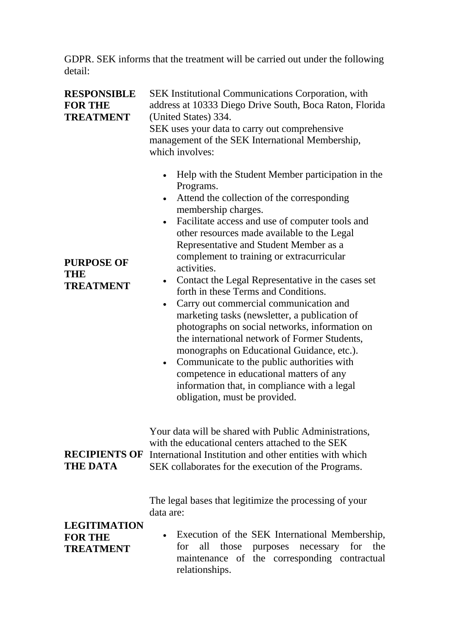GDPR. SEK informs that the treatment will be carried out under the following detail:

| <b>RESPONSIBLE</b><br><b>FOR THE</b><br><b>TREATMENT</b><br><b>PURPOSE OF</b><br>THE<br><b>TREATMENT</b> | <b>SEK Institutional Communications Corporation, with</b><br>address at 10333 Diego Drive South, Boca Raton, Florida<br>(United States) 334.<br>SEK uses your data to carry out comprehensive<br>management of the SEK International Membership,<br>which involves:<br>Help with the Student Member participation in the<br>$\bullet$<br>Programs.<br>Attend the collection of the corresponding<br>$\bullet$<br>membership charges.<br>Facilitate access and use of computer tools and<br>other resources made available to the Legal<br>Representative and Student Member as a<br>complement to training or extracurricular<br>activities.<br>Contact the Legal Representative in the cases set<br>$\bullet$<br>forth in these Terms and Conditions.<br>Carry out commercial communication and<br>marketing tasks (newsletter, a publication of<br>photographs on social networks, information on<br>the international network of Former Students,<br>monographs on Educational Guidance, etc.).<br>Communicate to the public authorities with<br>$\bullet$<br>competence in educational matters of any<br>information that, in compliance with a legal<br>obligation, must be provided. |
|----------------------------------------------------------------------------------------------------------|--------------------------------------------------------------------------------------------------------------------------------------------------------------------------------------------------------------------------------------------------------------------------------------------------------------------------------------------------------------------------------------------------------------------------------------------------------------------------------------------------------------------------------------------------------------------------------------------------------------------------------------------------------------------------------------------------------------------------------------------------------------------------------------------------------------------------------------------------------------------------------------------------------------------------------------------------------------------------------------------------------------------------------------------------------------------------------------------------------------------------------------------------------------------------------------------|
| <b>RECIPIENTS OF</b><br><b>THE DATA</b>                                                                  | Your data will be shared with Public Administrations,<br>with the educational centers attached to the SEK<br>International Institution and other entities with which<br>SEK collaborates for the execution of the Programs.                                                                                                                                                                                                                                                                                                                                                                                                                                                                                                                                                                                                                                                                                                                                                                                                                                                                                                                                                                |
| <b>LEGITIMATION</b><br><b>FOR THE</b><br><b>TREATMENT</b>                                                | The legal bases that legitimize the processing of your<br>data are:<br>Execution of the SEK International Membership,<br>those<br>purposes necessary for the<br>for<br>all<br>maintenance of the corresponding contractual<br>relationships.                                                                                                                                                                                                                                                                                                                                                                                                                                                                                                                                                                                                                                                                                                                                                                                                                                                                                                                                               |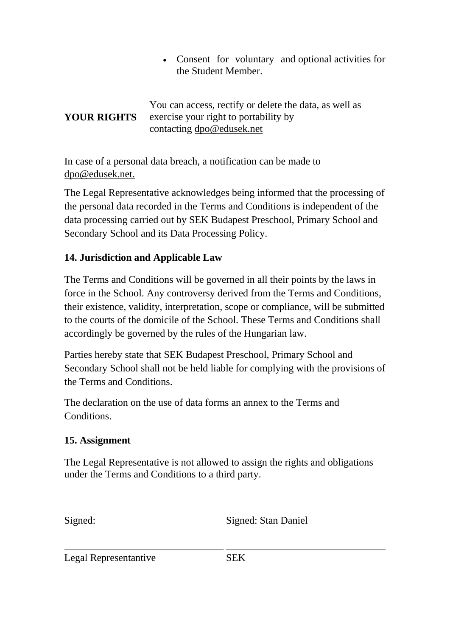Consent for voluntary and optional activities for the Student Member.

#### **YOUR RIGHTS** You can access, rectify or delete the data, as well as exercise your right to portability by contacting [dpo@edusek.net](mailto:dpo@edusek.net)

In case of a personal data breach, a notification can be made to [dpo@edusek.net.](mailto:dpo@edusek.net)

The Legal Representative acknowledges being informed that the processing of the personal data recorded in the Terms and Conditions is independent of the data processing carried out by SEK Budapest Preschool, Primary School and Secondary School and its Data Processing Policy.

# **14. Jurisdiction and Applicable Law**

The Terms and Conditions will be governed in all their points by the laws in force in the School. Any controversy derived from the Terms and Conditions, their existence, validity, interpretation, scope or compliance, will be submitted to the courts of the domicile of the School. These Terms and Conditions shall accordingly be governed by the rules of the Hungarian law.

Parties hereby state that SEK Budapest Preschool, Primary School and Secondary School shall not be held liable for complying with the provisions of the Terms and Conditions.

The declaration on the use of data forms an annex to the Terms and Conditions.

# **15. Assignment**

The Legal Representative is not allowed to assign the rights and obligations under the Terms and Conditions to a third party.

Signed: Signed: Stan Daniel

Legal Representantive SEK